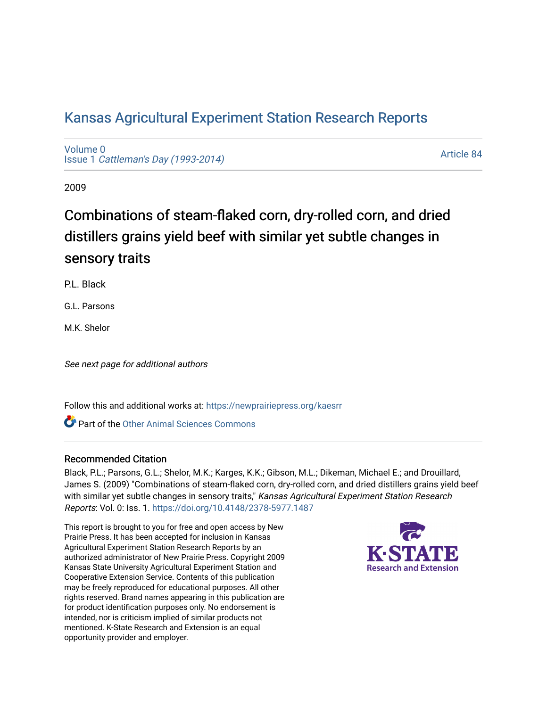# [Kansas Agricultural Experiment Station Research Reports](https://newprairiepress.org/kaesrr)

[Volume 0](https://newprairiepress.org/kaesrr/vol0) Issue 1 [Cattleman's Day \(1993-2014\)](https://newprairiepress.org/kaesrr/vol0/iss1) 

[Article 84](https://newprairiepress.org/kaesrr/vol0/iss1/84) 

2009

# Combinations of steam-flaked corn, dry-rolled corn, and dried distillers grains yield beef with similar yet subtle changes in sensory traits

P.L. Black

G.L. Parsons

M.K. Shelor

See next page for additional authors

Follow this and additional works at: [https://newprairiepress.org/kaesrr](https://newprairiepress.org/kaesrr?utm_source=newprairiepress.org%2Fkaesrr%2Fvol0%2Fiss1%2F84&utm_medium=PDF&utm_campaign=PDFCoverPages) 

**C** Part of the [Other Animal Sciences Commons](http://network.bepress.com/hgg/discipline/82?utm_source=newprairiepress.org%2Fkaesrr%2Fvol0%2Fiss1%2F84&utm_medium=PDF&utm_campaign=PDFCoverPages)

### Recommended Citation

Black, P.L.; Parsons, G.L.; Shelor, M.K.; Karges, K.K.; Gibson, M.L.; Dikeman, Michael E.; and Drouillard, James S. (2009) "Combinations of steam-flaked corn, dry-rolled corn, and dried distillers grains yield beef with similar yet subtle changes in sensory traits," Kansas Agricultural Experiment Station Research Reports: Vol. 0: Iss. 1.<https://doi.org/10.4148/2378-5977.1487>

This report is brought to you for free and open access by New Prairie Press. It has been accepted for inclusion in Kansas Agricultural Experiment Station Research Reports by an authorized administrator of New Prairie Press. Copyright 2009 Kansas State University Agricultural Experiment Station and Cooperative Extension Service. Contents of this publication may be freely reproduced for educational purposes. All other rights reserved. Brand names appearing in this publication are for product identification purposes only. No endorsement is intended, nor is criticism implied of similar products not mentioned. K-State Research and Extension is an equal opportunity provider and employer.

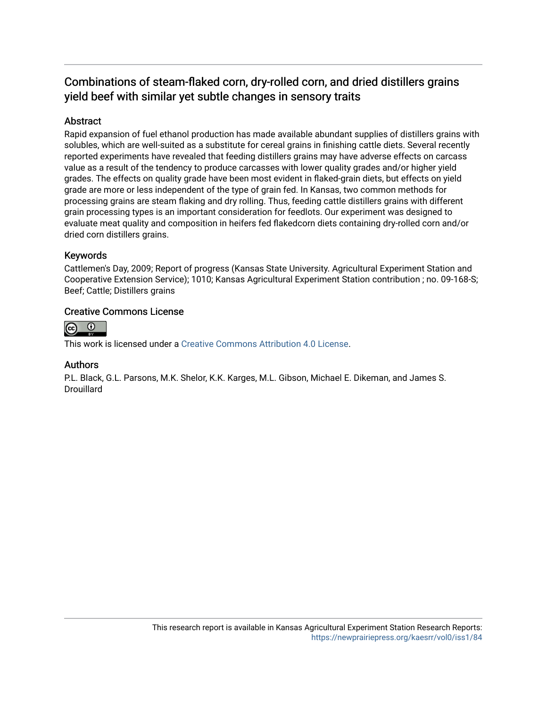## Combinations of steam-flaked corn, dry-rolled corn, and dried distillers grains yield beef with similar yet subtle changes in sensory traits

### Abstract

Rapid expansion of fuel ethanol production has made available abundant supplies of distillers grains with solubles, which are well-suited as a substitute for cereal grains in finishing cattle diets. Several recently reported experiments have revealed that feeding distillers grains may have adverse effects on carcass value as a result of the tendency to produce carcasses with lower quality grades and/or higher yield grades. The effects on quality grade have been most evident in flaked-grain diets, but effects on yield grade are more or less independent of the type of grain fed. In Kansas, two common methods for processing grains are steam flaking and dry rolling. Thus, feeding cattle distillers grains with different grain processing types is an important consideration for feedlots. Our experiment was designed to evaluate meat quality and composition in heifers fed flakedcorn diets containing dry-rolled corn and/or dried corn distillers grains.

### Keywords

Cattlemen's Day, 2009; Report of progress (Kansas State University. Agricultural Experiment Station and Cooperative Extension Service); 1010; Kansas Agricultural Experiment Station contribution ; no. 09-168-S; Beef; Cattle; Distillers grains

### Creative Commons License



This work is licensed under a [Creative Commons Attribution 4.0 License](https://creativecommons.org/licenses/by/4.0/).

#### Authors

P.L. Black, G.L. Parsons, M.K. Shelor, K.K. Karges, M.L. Gibson, Michael E. Dikeman, and James S. **Drouillard**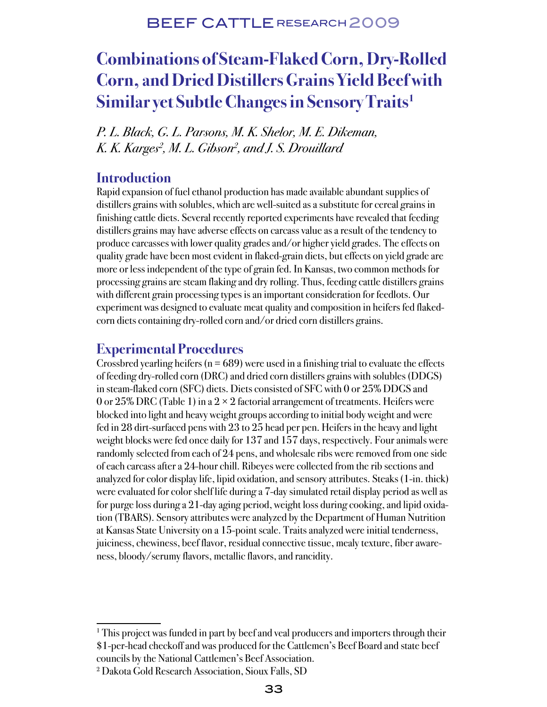# **Combinations of Steam-Flaked Corn, Dry-Rolled Corn, and Dried Distillers Grains Yield Beef with Similar yet Subtle Changes in Sensory Traits1**

P. L. Black, G. L. Parsons, M. K. Shelor, M. E. Dikeman, K. K. Karges<sup>2</sup>, M. L. Gibson<sup>2</sup>, and J. S. Drouillard

### **Introduction**

Rapid expansion of fuel ethanol production has made available abundant supplies of distillers grains with solubles, which are well-suited as a substitute for cereal grains in finishing cattle diets. Several recently reported experiments have revealed that feeding distillers grains may have adverse effects on carcass value as a result of the tendency to produce carcasses with lower quality grades and/or higher yield grades. The effects on quality grade have been most evident in flaked-grain diets, but effects on yield grade are more or less independent of the type of grain fed. In Kansas, two common methods for processing grains are steam flaking and dry rolling. Thus, feeding cattle distillers grains with different grain processing types is an important consideration for feedlots. Our experiment was designed to evaluate meat quality and composition in heifers fed flakedcorn diets containing dry-rolled corn and/or dried corn distillers grains.

## **Experimental Procedures**

Crossbred yearling heifers ( $n = 689$ ) were used in a finishing trial to evaluate the effects of feeding dry-rolled corn (DRC) and dried corn distillers grains with solubles (DDGS) in steam-flaked corn (SFC) diets. Diets consisted of SFC with 0 or 25% DDGS and 0 or 25% DRC (Table 1) in a  $2 \times 2$  factorial arrangement of treatments. Heifers were blocked into light and heavy weight groups according to initial body weight and were fed in 28 dirt-surfaced pens with 23 to 25 head per pen. Heifers in the heavy and light weight blocks were fed once daily for 137 and 157 days, respectively. Four animals were randomly selected from each of 24 pens, and wholesale ribs were removed from one side of each carcass after a 24-hour chill. Ribeyes were collected from the rib sections and analyzed for color display life, lipid oxidation, and sensory attributes. Steaks (1-in. thick) were evaluated for color shelf life during a 7-day simulated retail display period as well as for purge loss during a 21-day aging period, weight loss during cooking, and lipid oxidation (TBARS). Sensory attributes were analyzed by the Department of Human Nutrition at Kansas State University on a 15-point scale. Traits analyzed were initial tenderness, juiciness, chewiness, beef flavor, residual connective tissue, mealy texture, fiber awareness, bloody/serumy flavors, metallic flavors, and rancidity.

<sup>&</sup>lt;sup>1</sup> This project was funded in part by beef and veal producers and importers through their \$1-per-head checkoff and was produced for the Cattlemen's Beef Board and state beef councils by the National Cattlemen's Beef Association.

<sup>2</sup> Dakota Gold Research Association, Sioux Falls, SD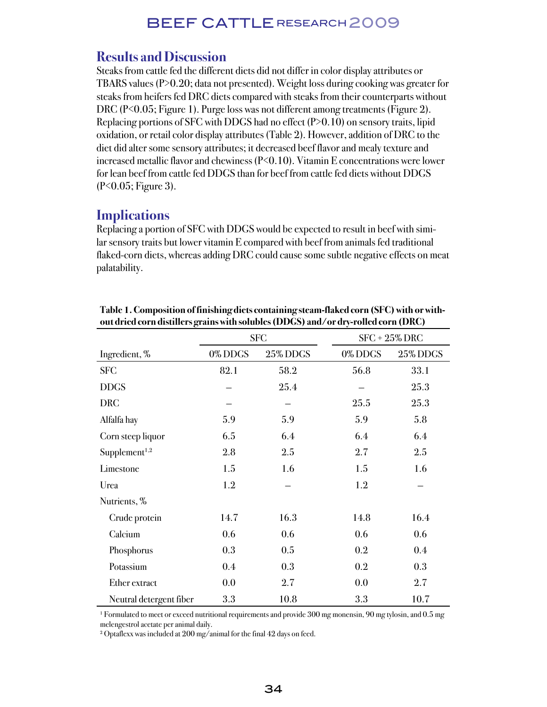### **Results and Discussion**

Steaks from cattle fed the different diets did not differ in color display attributes or TBARS values (P>0.20; data not presented). Weight loss during cooking was greater for steaks from heifers fed DRC diets compared with steaks from their counterparts without DRC (P<0.05; Figure 1). Purge loss was not different among treatments (Figure 2). Replacing portions of SFC with DDGS had no effect (P>0.10) on sensory traits, lipid oxidation, or retail color display attributes (Table 2). However, addition of DRC to the diet did alter some sensory attributes; it decreased beef flavor and mealy texture and increased metallic flavor and chewiness (P<0.10). Vitamin E concentrations were lower for lean beef from cattle fed DDGS than for beef from cattle fed diets without DDGS (P<0.05; Figure 3).

### **Implications**

Replacing a portion of SFC with DDGS would be expected to result in beef with similar sensory traits but lower vitamin E compared with beef from animals fed traditional flaked-corn diets, whereas adding DRC could cause some subtle negative effects on meat palatability.

|                           |         | <b>SFC</b> | $SFC + 25\% DRC$ |          |  |
|---------------------------|---------|------------|------------------|----------|--|
| Ingredient, %             | 0% DDGS | 25% DDGS   | 0%DDGS           | 25% DDGS |  |
| <b>SFC</b>                | 82.1    | 58.2       | 56.8             | 33.1     |  |
| <b>DDGS</b>               |         | 25.4       |                  | 25.3     |  |
| <b>DRC</b>                |         |            | 25.5             | 25.3     |  |
| Alfalfa hay               | 5.9     | 5.9        | 5.9              | 5.8      |  |
| Corn steep liquor         | 6.5     | 6.4        | 6.4              | 6.4      |  |
| Supplement <sup>1,2</sup> | 2.8     | 2.5        | 2.7              | 2.5      |  |
| Limestone                 | 1.5     | 1.6        | 1.5              | 1.6      |  |
| Urea                      | 1.2     |            | 1.2              |          |  |
| Nutrients, %              |         |            |                  |          |  |
| Crude protein             | 14.7    | 16.3       | 14.8             | 16.4     |  |
| Calcium                   | 0.6     | 0.6        | 0.6              | 0.6      |  |
| Phosphorus                | 0.3     | 0.5        | 0.2              | 0.4      |  |
| Potassium                 | 0.4     | 0.3        | 0.2              | 0.3      |  |
| Ether extract             | 0.0     | 2.7        | 0.0              | 2.7      |  |
| Neutral detergent fiber   | 3.3     | 10.8       | 3.3              | 10.7     |  |

**Table 1. Composition of finishing diets containing steam-flaked corn (SFC) with or without dried corn distillers grains with solubles (DDGS) and/or dry-rolled corn (DRC)**

1 Formulated to meet or exceed nutritional requirements and provide 300 mg monensin, 90 mg tylosin, and 0.5 mg melengestrol acetate per animal daily.

2 Optaflexx was included at 200 mg/animal for the final 42 days on feed.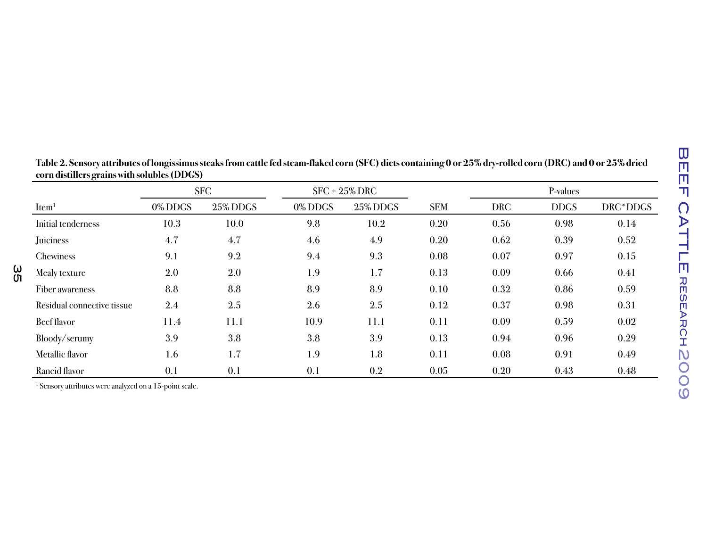| Item <sup>1</sup>          | <b>SFC</b>       |                 | $SFC + 25\% DRC$ |          |            | P-values   |             |          |
|----------------------------|------------------|-----------------|------------------|----------|------------|------------|-------------|----------|
|                            | 0% DDGS          | <b>25% DDGS</b> | 0% DDGS          | 25% DDGS | <b>SEM</b> | <b>DRC</b> | <b>DDGS</b> | DRC*DDGS |
| Initial tenderness         | 10.3             | 10.0            | 9.8              | 10.2     | 0.20       | 0.56       | 0.98        | 0.14     |
| Juiciness                  | 4.7              | 4.7             | 4.6              | 4.9      | 0.20       | 0.62       | 0.39        | 0.52     |
| Chewiness                  | 9.1              | 9.2             | 9.4              | 9.3      | 0.08       | 0.07       | 0.97        | 0.15     |
| Mealy texture              | 2.0              | 2.0             | 1.9              | 1.7      | 0.13       | 0.09       | 0.66        | 0.41     |
| Fiber awareness            | 8.8              | 8.8             | 8.9              | 8.9      | 0.10       | 0.32       | 0.86        | 0.59     |
| Residual connective tissue | $2.4\phantom{0}$ | 2.5             | 2.6              | 2.5      | 0.12       | 0.37       | 0.98        | 0.31     |
| <b>Beef flavor</b>         | 11.4             | 11.1            | 10.9             | 11.1     | 0.11       | 0.09       | 0.59        | 0.02     |
| Bloody/serumy              | 3.9              | 3.8             | 3.8              | 3.9      | 0.13       | 0.94       | 0.96        | 0.29     |
| Metallic flavor            | 1.6              | 1.7             | 1.9              | 1.8      | 0.11       | 0.08       | 0.91        | 0.49     |
| Rancid flavor              | 0.1              | 0.1             | 0.1              | $0.2\,$  | 0.05       | 0.20       | 0.43        | 0.48     |

| Table 2. Sensory attributes of longissimus steaks from cattle fed steam-flaked corn (SFC) diets containing 0 or 25% dry-rolled corn (DRC) and 0 or 25% dried |  |
|--------------------------------------------------------------------------------------------------------------------------------------------------------------|--|
| corn distillers grains with solubles (DDGS)                                                                                                                  |  |

| Chewiness                  | 9.1     | 9.2  | 9.4  | 9.3  | 0.08 | 0.07 | 0.97 | 0.15 |
|----------------------------|---------|------|------|------|------|------|------|------|
| Mealy texture              | $2.0\,$ | 2.0  | 1.9  | 1.7  | 0.13 | 0.09 | 0.66 | 0.41 |
| Fiber awareness            | 8.8     | 8.8  | 8.9  | 8.9  | 0.10 | 0.32 | 0.86 | 0.59 |
| Residual connective tissue | $2.4\,$ | 2.5  | 2.6  | 2.5  | 0.12 | 0.37 | 0.98 | 0.31 |
| Beef flavor                | 11.4    | 11.1 | 10.9 | 11.1 | 0.11 | 0.09 | 0.59 | 0.02 |
| Bloody/serumy              | 3.9     | 3.8  | 3.8  | 3.9  | 0.13 | 0.94 | 0.96 | 0.29 |
| Metallic flavor            | 1.6     | 1.7  | 1.9  | 1.8  | 0.11 | 0.08 | 0.91 | 0.49 |
| Rancid flavor              | 0.1     | 0.1  | 0.1  | 0.2  | 0.05 | 0.20 | 0.43 | 0.48 |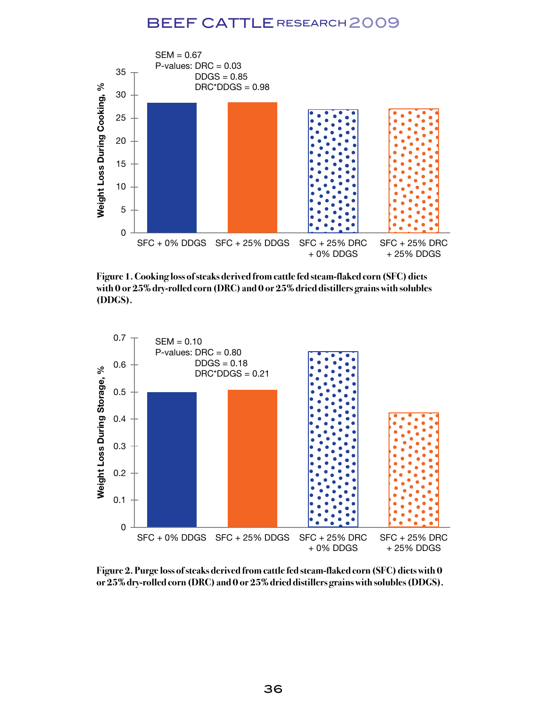

**Figure 1. Cooking loss of steaks derived from cattle fed steam-flaked corn (SFC) diets with 0 or 25% dry-rolled corn (DRC) and 0 or 25% dried distillers grains with solubles (DDGS).** 



**Figure 2. Purge loss of steaks derived from cattle fed steam-flaked corn (SFC) diets with 0 or 25% dry-rolled corn (DRC) and 0 or 25% dried distillers grains with solubles (DDGS).**